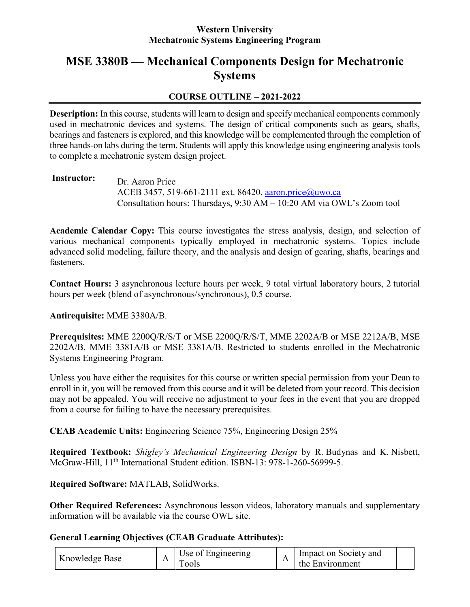### **Western University Mechatronic Systems Engineering Program**

# **MSE 3380B — Mechanical Components Design for Mechatronic Systems**

### **COURSE OUTLINE – 2021-2022**

**Description:** In this course, students will learn to design and specify mechanical components commonly used in mechatronic devices and systems. The design of critical components such as gears, shafts, bearings and fasteners is explored, and this knowledge will be complemented through the completion of three hands-on labs during the term. Students will apply this knowledge using engineering analysis tools to complete a mechatronic system design project.

### **Instructor:** Dr. Aaron Price ACEB 3457, 519-661-2111 ext. 86420, [aaron.price@uwo.ca](mailto:aaron.price@uwo.ca?subject=MSE%203380) Consultation hours: Thursdays, 9:30 AM – 10:20 AM via OWL's Zoom tool

**Academic Calendar Copy:** This course investigates the stress analysis, design, and selection of various mechanical components typically employed in mechatronic systems. Topics include advanced solid modeling, failure theory, and the analysis and design of gearing, shafts, bearings and fasteners.

**Contact Hours:** 3 asynchronous lecture hours per week, 9 total virtual laboratory hours, 2 tutorial hours per week (blend of asynchronous/synchronous), 0.5 course.

### **Antirequisite:** MME 3380A/B.

**Prerequisites:** MME 2200Q/R/S/T or MSE 2200Q/R/S/T, MME 2202A/B or MSE 2212A/B, MSE 2202A/B, MME 3381A/B or MSE 3381A/B. Restricted to students enrolled in the Mechatronic Systems Engineering Program.

Unless you have either the requisites for this course or written special permission from your Dean to enroll in it, you will be removed from this course and it will be deleted from your record. This decision may not be appealed. You will receive no adjustment to your fees in the event that you are dropped from a course for failing to have the necessary prerequisites.

**CEAB Academic Units:** Engineering Science 75%, Engineering Design 25%

**Required Textbook:** *Shigley's Mechanical Engineering Design* by R. Budynas and K. Nisbett, McGraw-Hill, 11<sup>th</sup> International Student edition. ISBN-13: 978-1-260-56999-5.

### **Required Software:** MATLAB, SolidWorks.

**Other Required References:** Asynchronous lesson videos, laboratory manuals and supplementary information will be available via the course OWL site.

### **General Learning Objectives (CEAB Graduate Attributes):**

| Knowledge Base | . | Use of Engineering<br>ools | $\mathbf{r}$ | Impact on Society and<br>the Environment |  |
|----------------|---|----------------------------|--------------|------------------------------------------|--|
|----------------|---|----------------------------|--------------|------------------------------------------|--|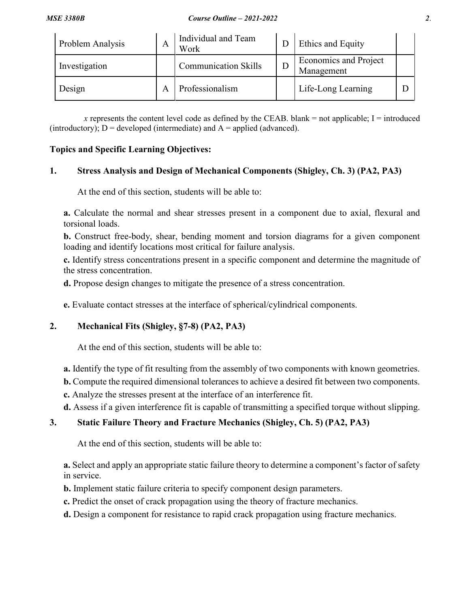| Problem Analysis | A | Individual and Team<br>Work | Ethics and Equity                          |  |
|------------------|---|-----------------------------|--------------------------------------------|--|
| Investigation    |   | <b>Communication Skills</b> | <b>Economics and Project</b><br>Management |  |
| Design           |   | Professionalism             | Life-Long Learning                         |  |

x represents the content level code as defined by the CEAB. blank  $=$  not applicable; I  $=$  introduced (introductory);  $D =$  developed (intermediate) and  $A =$  applied (advanced).

#### **Topics and Specific Learning Objectives:**

#### **1. Stress Analysis and Design of Mechanical Components (Shigley, Ch. 3) (PA2, PA3)**

At the end of this section, students will be able to:

**a.** Calculate the normal and shear stresses present in a component due to axial, flexural and torsional loads.

**b.** Construct free-body, shear, bending moment and torsion diagrams for a given component loading and identify locations most critical for failure analysis.

**c.** Identify stress concentrations present in a specific component and determine the magnitude of the stress concentration.

**d.** Propose design changes to mitigate the presence of a stress concentration.

**e.** Evaluate contact stresses at the interface of spherical/cylindrical components.

### **2. Mechanical Fits (Shigley, §7-8) (PA2, PA3)**

At the end of this section, students will be able to:

**a.** Identify the type of fit resulting from the assembly of two components with known geometries.

**b.** Compute the required dimensional tolerances to achieve a desired fit between two components.

**c.** Analyze the stresses present at the interface of an interference fit.

**d.** Assess if a given interference fit is capable of transmitting a specified torque without slipping.

### **3. Static Failure Theory and Fracture Mechanics (Shigley, Ch. 5) (PA2, PA3)**

At the end of this section, students will be able to:

**a.** Select and apply an appropriate static failure theory to determine a component's factor of safety in service.

**b.** Implement static failure criteria to specify component design parameters.

**c.** Predict the onset of crack propagation using the theory of fracture mechanics.

**d.** Design a component for resistance to rapid crack propagation using fracture mechanics.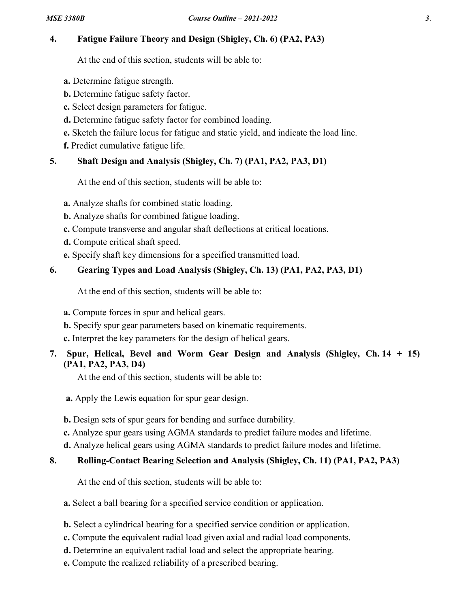### **4. Fatigue Failure Theory and Design (Shigley, Ch. 6) (PA2, PA3)**

At the end of this section, students will be able to:

- **a.** Determine fatigue strength.
- **b.** Determine fatigue safety factor.
- **c.** Select design parameters for fatigue.
- **d.** Determine fatigue safety factor for combined loading.
- **e.** Sketch the failure locus for fatigue and static yield, and indicate the load line.
- **f.** Predict cumulative fatigue life.

## **5. Shaft Design and Analysis (Shigley, Ch. 7) (PA1, PA2, PA3, D1)**

At the end of this section, students will be able to:

**a.** Analyze shafts for combined static loading.

- **b.** Analyze shafts for combined fatigue loading.
- **c.** Compute transverse and angular shaft deflections at critical locations.
- **d.** Compute critical shaft speed.
- **e.** Specify shaft key dimensions for a specified transmitted load.

## **6. Gearing Types and Load Analysis (Shigley, Ch. 13) (PA1, PA2, PA3, D1)**

At the end of this section, students will be able to:

**a.** Compute forces in spur and helical gears.

**b.** Specify spur gear parameters based on kinematic requirements.

**c.** Interpret the key parameters for the design of helical gears.

### **7. Spur, Helical, Bevel and Worm Gear Design and Analysis (Shigley, Ch. 14 + 15) (PA1, PA2, PA3, D4)**

At the end of this section, students will be able to:

- **a.** Apply the Lewis equation for spur gear design.
- **b.** Design sets of spur gears for bending and surface durability.
- **c.** Analyze spur gears using AGMA standards to predict failure modes and lifetime.
- **d.** Analyze helical gears using AGMA standards to predict failure modes and lifetime.

## **8. Rolling-Contact Bearing Selection and Analysis (Shigley, Ch. 11) (PA1, PA2, PA3)**

At the end of this section, students will be able to:

**a.** Select a ball bearing for a specified service condition or application.

- **b.** Select a cylindrical bearing for a specified service condition or application.
- **c.** Compute the equivalent radial load given axial and radial load components.
- **d.** Determine an equivalent radial load and select the appropriate bearing.
- **e.** Compute the realized reliability of a prescribed bearing.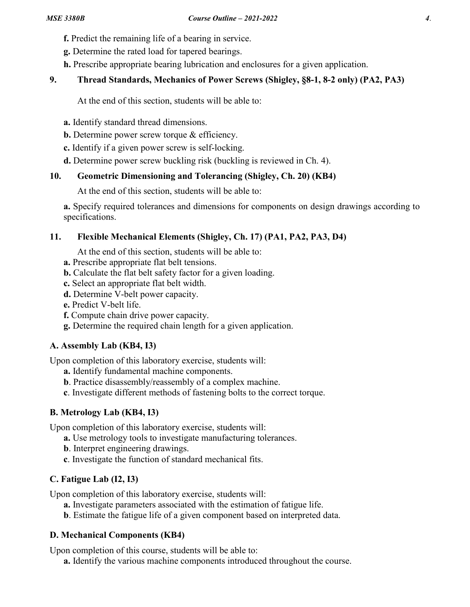- **f.** Predict the remaining life of a bearing in service.
- **g.** Determine the rated load for tapered bearings.
- **h.** Prescribe appropriate bearing lubrication and enclosures for a given application.

## **9. Thread Standards, Mechanics of Power Screws (Shigley, §8-1, 8-2 only) (PA2, PA3)**

At the end of this section, students will be able to:

- **a.** Identify standard thread dimensions.
- **b.** Determine power screw torque & efficiency.
- **c.** Identify if a given power screw is self-locking.
- **d.** Determine power screw buckling risk (buckling is reviewed in Ch. 4).

## **10. Geometric Dimensioning and Tolerancing (Shigley, Ch. 20) (KB4)**

At the end of this section, students will be able to:

**a.** Specify required tolerances and dimensions for components on design drawings according to specifications.

## **11. Flexible Mechanical Elements (Shigley, Ch. 17) (PA1, PA2, PA3, D4)**

At the end of this section, students will be able to:

- **a.** Prescribe appropriate flat belt tensions.
- **b.** Calculate the flat belt safety factor for a given loading.
- **c.** Select an appropriate flat belt width.
- **d.** Determine V-belt power capacity.
- **e.** Predict V-belt life.
- **f.** Compute chain drive power capacity.
- **g.** Determine the required chain length for a given application.

## **A. Assembly Lab (KB4, I3)**

Upon completion of this laboratory exercise, students will:

- **a.** Identify fundamental machine components.
- **b**. Practice disassembly/reassembly of a complex machine.
- **c**. Investigate different methods of fastening bolts to the correct torque.

## **B. Metrology Lab (KB4, I3)**

Upon completion of this laboratory exercise, students will:

- **a.** Use metrology tools to investigate manufacturing tolerances.
- **b**. Interpret engineering drawings.
- **c**. Investigate the function of standard mechanical fits.

# **C. Fatigue Lab (I2, I3)**

Upon completion of this laboratory exercise, students will:

- **a.** Investigate parameters associated with the estimation of fatigue life.
- **b**. Estimate the fatigue life of a given component based on interpreted data.

## **D. Mechanical Components (KB4)**

Upon completion of this course, students will be able to:

**a.** Identify the various machine components introduced throughout the course.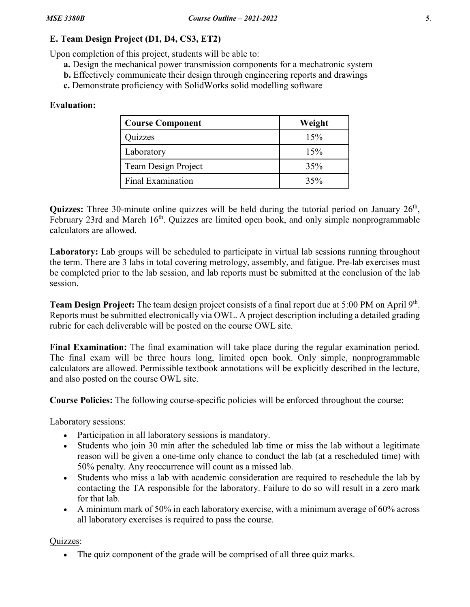## **E. Team Design Project (D1, D4, CS3, ET2)**

Upon completion of this project, students will be able to:

- **a.** Design the mechanical power transmission components for a mechatronic system
- **b.** Effectively communicate their design through engineering reports and drawings
- **c.** Demonstrate proficiency with SolidWorks solid modelling software

## **Evaluation:**

| <b>Course Component</b>  | Weight |
|--------------------------|--------|
| <b>Juizzes</b>           | 15%    |
| Laboratory               | 15%    |
| Team Design Project      | 35%    |
| <b>Final Examination</b> | 35%    |

Quizzes: Three 30-minute online quizzes will be held during the tutorial period on January 26<sup>th</sup>, February 23rd and March 16<sup>th</sup>. Quizzes are limited open book, and only simple nonprogrammable calculators are allowed.

**Laboratory:** Lab groups will be scheduled to participate in virtual lab sessions running throughout the term. There are 3 labs in total covering metrology, assembly, and fatigue. Pre-lab exercises must be completed prior to the lab session, and lab reports must be submitted at the conclusion of the lab session.

**Team Design Project:** The team design project consists of a final report due at 5:00 PM on April 9th. Reports must be submitted electronically via OWL. A project description including a detailed grading rubric for each deliverable will be posted on the course OWL site.

**Final Examination:** The final examination will take place during the regular examination period. The final exam will be three hours long, limited open book. Only simple, nonprogrammable calculators are allowed. Permissible textbook annotations will be explicitly described in the lecture, and also posted on the course OWL site.

**Course Policies:** The following course-specific policies will be enforced throughout the course:

Laboratory sessions:

- Participation in all laboratory sessions is mandatory.
- Students who join 30 min after the scheduled lab time or miss the lab without a legitimate reason will be given a one-time only chance to conduct the lab (at a rescheduled time) with 50% penalty. Any reoccurrence will count as a missed lab.
- Students who miss a lab with academic consideration are required to reschedule the lab by contacting the TA responsible for the laboratory. Failure to do so will result in a zero mark for that lab.
- A minimum mark of 50% in each laboratory exercise, with a minimum average of 60% across all laboratory exercises is required to pass the course.

Quizzes:

• The quiz component of the grade will be comprised of all three quiz marks.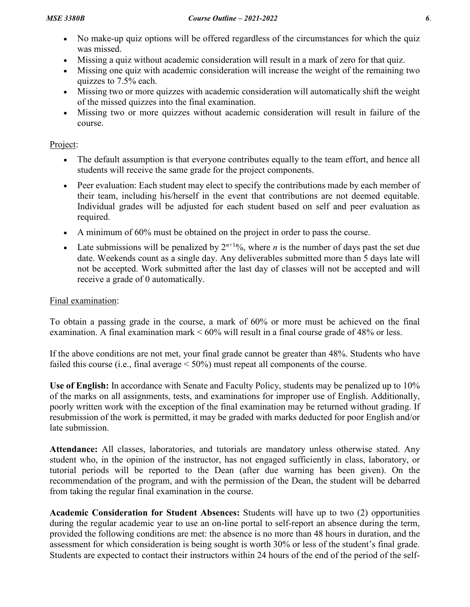- No make-up quiz options will be offered regardless of the circumstances for which the quiz was missed.
- Missing a quiz without academic consideration will result in a mark of zero for that quiz.
- Missing one quiz with academic consideration will increase the weight of the remaining two quizzes to 7.5% each.
- Missing two or more quizzes with academic consideration will automatically shift the weight of the missed quizzes into the final examination.
- Missing two or more quizzes without academic consideration will result in failure of the course.

### Project:

- The default assumption is that everyone contributes equally to the team effort, and hence all students will receive the same grade for the project components.
- Peer evaluation: Each student may elect to specify the contributions made by each member of their team, including his/herself in the event that contributions are not deemed equitable. Individual grades will be adjusted for each student based on self and peer evaluation as required.
- A minimum of 60% must be obtained on the project in order to pass the course.
- Late submissions will be penalized by  $2^{n+1}\%$ , where *n* is the number of days past the set due date. Weekends count as a single day. Any deliverables submitted more than 5 days late will not be accepted. Work submitted after the last day of classes will not be accepted and will receive a grade of 0 automatically.

### Final examination:

To obtain a passing grade in the course, a mark of 60% or more must be achieved on the final examination. A final examination mark < 60% will result in a final course grade of 48% or less.

If the above conditions are not met, your final grade cannot be greater than 48%. Students who have failed this course (i.e., final average  $\leq 50\%$ ) must repeat all components of the course.

**Use of English:** In accordance with Senate and Faculty Policy, students may be penalized up to 10% of the marks on all assignments, tests, and examinations for improper use of English. Additionally, poorly written work with the exception of the final examination may be returned without grading. If resubmission of the work is permitted, it may be graded with marks deducted for poor English and/or late submission.

**Attendance:** All classes, laboratories, and tutorials are mandatory unless otherwise stated. Any student who, in the opinion of the instructor, has not engaged sufficiently in class, laboratory, or tutorial periods will be reported to the Dean (after due warning has been given). On the recommendation of the program, and with the permission of the Dean, the student will be debarred from taking the regular final examination in the course.

**Academic Consideration for Student Absences:** Students will have up to two (2) opportunities during the regular academic year to use an on-line portal to self-report an absence during the term, provided the following conditions are met: the absence is no more than 48 hours in duration, and the assessment for which consideration is being sought is worth 30% or less of the student's final grade. Students are expected to contact their instructors within 24 hours of the end of the period of the self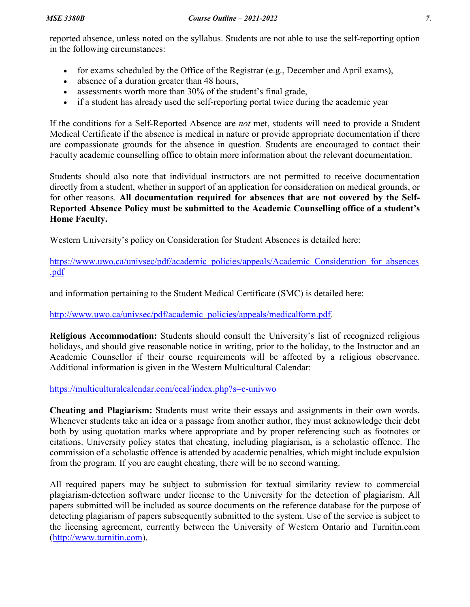reported absence, unless noted on the syllabus. Students are not able to use the self-reporting option in the following circumstances:

- for exams scheduled by the Office of the Registrar (e.g., December and April exams),
- absence of a duration greater than 48 hours,
- assessments worth more than 30% of the student's final grade,
- if a student has already used the self-reporting portal twice during the academic year

If the conditions for a Self-Reported Absence are *not* met, students will need to provide a Student Medical Certificate if the absence is medical in nature or provide appropriate documentation if there are compassionate grounds for the absence in question. Students are encouraged to contact their Faculty academic counselling office to obtain more information about the relevant documentation.

Students should also note that individual instructors are not permitted to receive documentation directly from a student, whether in support of an application for consideration on medical grounds, or for other reasons. **All documentation required for absences that are not covered by the Self-Reported Absence Policy must be submitted to the Academic Counselling office of a student's Home Faculty.**

Western University's policy on Consideration for Student Absences is detailed here:

[https://www.uwo.ca/univsec/pdf/academic\\_policies/appeals/Academic\\_Consideration\\_for\\_absences](https://www.uwo.ca/univsec/pdf/academic_policies/appeals/Academic_Consideration_for_absences.pdf) [.pdf](https://www.uwo.ca/univsec/pdf/academic_policies/appeals/Academic_Consideration_for_absences.pdf)

and information pertaining to the Student Medical Certificate (SMC) is detailed here:

## [http://www.uwo.ca/univsec/pdf/academic\\_policies/appeals/medicalform.pdf.](http://www.uwo.ca/univsec/pdf/academic_policies/appeals/medicalform.pdf)

**Religious Accommodation:** Students should consult the University's list of recognized religious holidays, and should give reasonable notice in writing, prior to the holiday, to the Instructor and an Academic Counsellor if their course requirements will be affected by a religious observance. Additional information is given in the Western Multicultural Calendar:

### <https://multiculturalcalendar.com/ecal/index.php?s=c-univwo>

**Cheating and Plagiarism:** Students must write their essays and assignments in their own words. Whenever students take an idea or a passage from another author, they must acknowledge their debt both by using quotation marks where appropriate and by proper referencing such as footnotes or citations. University policy states that cheating, including plagiarism, is a scholastic offence. The commission of a scholastic offence is attended by academic penalties, which might include expulsion from the program. If you are caught cheating, there will be no second warning.

All required papers may be subject to submission for textual similarity review to commercial plagiarism-detection software under license to the University for the detection of plagiarism. All papers submitted will be included as source documents on the reference database for the purpose of detecting plagiarism of papers subsequently submitted to the system. Use of the service is subject to the licensing agreement, currently between the University of Western Ontario and Turnitin.com [\(http://www.turnitin.com\)](http://www.turnitin.com/).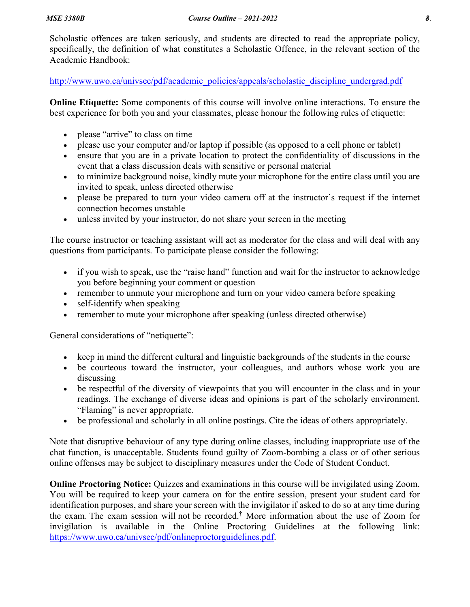Scholastic offences are taken seriously, and students are directed to read the appropriate policy, specifically, the definition of what constitutes a Scholastic Offence, in the relevant section of the Academic Handbook:

[http://www.uwo.ca/univsec/pdf/academic\\_policies/appeals/scholastic\\_discipline\\_undergrad.pdf](http://www.uwo.ca/univsec/pdf/academic_policies/appeals/scholastic_discipline_undergrad.pdf)

**Online Etiquette:** Some components of this course will involve online interactions. To ensure the best experience for both you and your classmates, please honour the following rules of etiquette:

- please "arrive" to class on time
- please use your computer and/or laptop if possible (as opposed to a cell phone or tablet)
- ensure that you are in a private location to protect the confidentiality of discussions in the event that a class discussion deals with sensitive or personal material
- to minimize background noise, kindly mute your microphone for the entire class until you are invited to speak, unless directed otherwise
- please be prepared to turn your video camera off at the instructor's request if the internet connection becomes unstable
- unless invited by your instructor, do not share your screen in the meeting

The course instructor or teaching assistant will act as moderator for the class and will deal with any questions from participants. To participate please consider the following:

- if you wish to speak, use the "raise hand" function and wait for the instructor to acknowledge you before beginning your comment or question
- remember to unmute your microphone and turn on your video camera before speaking
- self-identify when speaking
- remember to mute your microphone after speaking (unless directed otherwise)

General considerations of "netiquette":

- keep in mind the different cultural and linguistic backgrounds of the students in the course
- be courteous toward the instructor, your colleagues, and authors whose work you are discussing
- be respectful of the diversity of viewpoints that you will encounter in the class and in your readings. The exchange of diverse ideas and opinions is part of the scholarly environment. "Flaming" is never appropriate.
- be professional and scholarly in all online postings. Cite the ideas of others appropriately.

Note that disruptive behaviour of any type during online classes, including inappropriate use of the chat function, is unacceptable. Students found guilty of Zoom-bombing a class or of other serious online offenses may be subject to disciplinary measures under the Code of Student Conduct.

**Online Proctoring Notice:** Quizzes and examinations in this course will be invigilated using Zoom. You will be required to keep your camera on for the entire session, present your student card for identification purposes, and share your screen with the invigilator if asked to do so at any time during the exam. The exam session will not be recorded.† More information about the use of Zoom for invigilation is available in the Online Proctoring Guidelines at the following link: [https://www.uwo.ca/univsec/pdf/onlineproctorguidelines.pdf.](https://www.uwo.ca/univsec/pdf/onlineproctorguidelines.pdf)